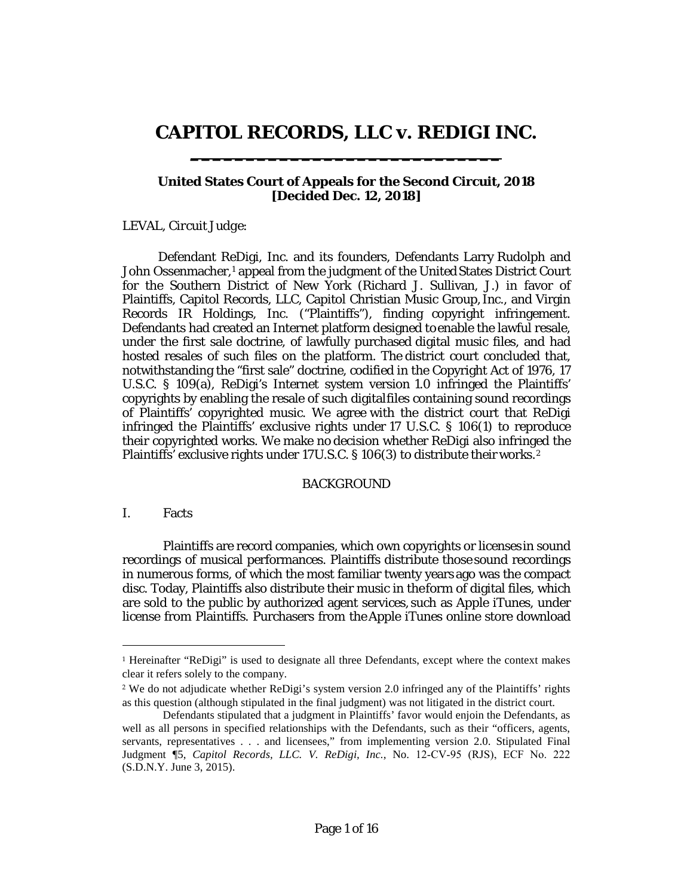# **CAPITOL RECORDS, LLC v. REDIGI INC. \_\_\_\_\_\_\_\_\_\_\_\_\_\_\_\_\_\_\_\_\_\_\_\_\_\_\_\_**

#### **United States Court of Appeals for the Second Circuit, 2018 [Decided Dec. 12, 2018]**

#### LEVAL, *Circuit Judge*:

Defendant ReDigi, Inc. and its founders, Defendants Larry Rudolph and John Ossenmacher,<sup>[1](#page-0-0)</sup> appeal from the judgment of the United States District Court for the Southern District of New York (Richard J. Sullivan, *J*.) in favor of Plaintiffs, Capitol Records, LLC, Capitol Christian Music Group, Inc., and Virgin Records IR Holdings, Inc. ("Plaintiffs"), finding copyright infringement. Defendants had created an Internet platform designed toenable the lawful resale, under the first sale doctrine, of lawfully purchased digital music files, and had hosted resales of such files on the platform. The district court concluded that, notwithstanding the "first sale" doctrine, codified in the Copyright Act of 1976, 17 U.S.C. § 109(a), ReDigi's Internet system version 1.0 infringed the Plaintiffs' copyrights by enabling the resale of such digitalfiles containing sound recordings of Plaintiffs' copyrighted music. We agree with the district court that ReDigi infringed the Plaintiffs' exclusive rights under 17 U.S.C. § 106(1) to reproduce their copyrighted works. We make no decision whether ReDigi also infringed the Plaintiffs' exclusive rights under 17U.S.C. § 106(3) to distribute their works.<sup>[2](#page-0-1)</sup>

## BACKGROUND

#### I. Facts

 $\overline{a}$ 

Plaintiffs are record companies, which own copyrights or licensesin sound recordings of musical performances. Plaintiffs distribute those sound recordings in numerous forms, of which the most familiar twenty years ago was the compact disc. Today, Plaintiffs also distribute their music in theform of digital files, which are sold to the public by authorized agent services, such as Apple iTunes, under license from Plaintiffs. Purchasers from theApple iTunes online store download

<span id="page-0-0"></span><sup>1</sup> Hereinafter "ReDigi" is used to designate all three Defendants, except where the context makes clear it refers solely to the company.

<span id="page-0-1"></span><sup>2</sup> We do not adjudicate whether ReDigi's system version 2.0 infringed any of the Plaintiffs' rights as this question (although stipulated in the final judgment) was not litigated in the district court.

Defendants stipulated that a judgment in Plaintiffs' favor would enjoin the Defendants, as well as all persons in specified relationships with the Defendants, such as their "officers, agents, servants, representatives . . . and licensees," from implementing version 2.0. Stipulated Final Judgment ¶5, *Capitol Records, LLC. V. ReDigi, Inc.*, No. 12‐CV‐95 (RJS), ECF No. 222 (S.D.N.Y. June 3, 2015).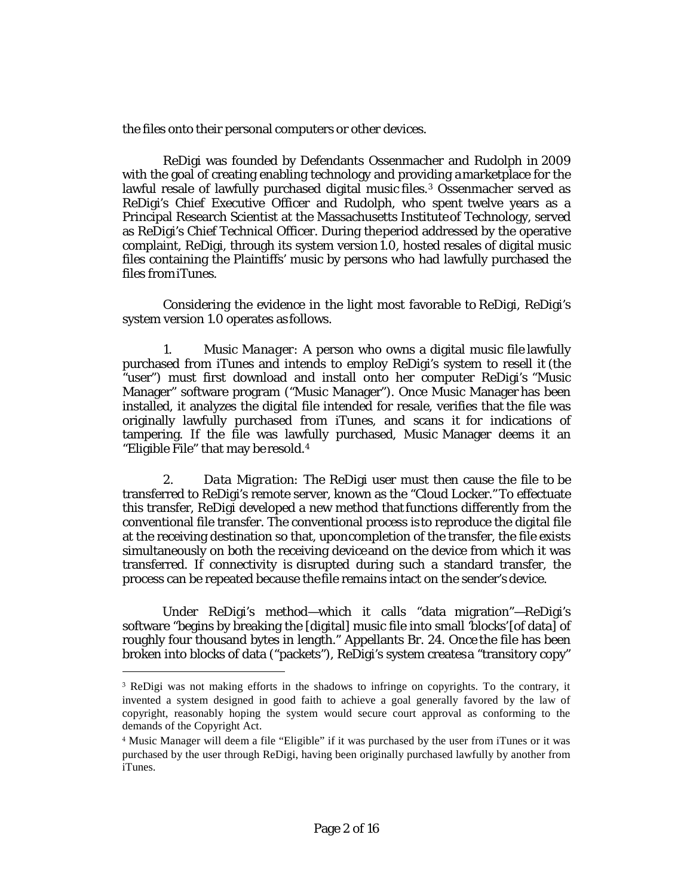the files onto their personal computers or other devices.

ReDigi was founded by Defendants Ossenmacher and Rudolph in 2009 with the goal of creating enabling technology and providing amarketplace for the lawful resale of lawfully purchased digital music files.[3](#page-1-0) Ossenmacher served as ReDigi's Chief Executive Officer and Rudolph, who spent twelve years as a Principal Research Scientist at the Massachusetts Instituteof Technology, served as ReDigi's Chief Technical Officer. During theperiod addressed by the operative complaint, ReDigi, through its system version1.0, hosted resales of digital music files containing the Plaintiffs' music by persons who had lawfully purchased the files fromiTunes.

Considering the evidence in the light most favorable to ReDigi, ReDigi's system version 1.0 operates as follows.

*1. Music Manager:* A person who owns a digital music file lawfully purchased from iTunes and intends to employ ReDigi's system to resell it (the "user") must first download and install onto her computer ReDigi's "Music Manager" software program ("Music Manager"). Once Music Manager has been installed, it analyzes the digital file intended for resale, verifies that the file was originally lawfully purchased from iTunes, and scans it for indications of tampering. If the file was lawfully purchased, Music Manager deems it an "Eligible File" that may be resold.[4](#page-1-1)

*2. Data Migration:* The ReDigi user must then cause the file to be transferred to ReDigi's remote server, known as the "Cloud Locker."To effectuate this transfer, ReDigi developed a new method thatfunctions differently from the conventional file transfer. The conventional process is to reproduce the digital file at the receiving destination so that, uponcompletion of the transfer, the file exists simultaneously on both the receiving deviceand on the device from which it was transferred. If connectivity is disrupted during such a standard transfer, the process can be repeated because thefile remains intact on the sender's device.

Under ReDigi's method—which it calls "data migration"—ReDigi's software "begins by breaking the [digital] music file into small 'blocks'[of data] of roughly four thousand bytes in length." Appellants Br. 24. Once the file has been broken into blocks of data ("packets"), ReDigi's system createsa "transitory copy"

<span id="page-1-0"></span><sup>&</sup>lt;sup>3</sup> ReDigi was not making efforts in the shadows to infringe on copyrights. To the contrary, it invented a system designed in good faith to achieve a goal generally favored by the law of copyright, reasonably hoping the system would secure court approval as conforming to the demands of the Copyright Act.

<span id="page-1-1"></span><sup>4</sup> Music Manager will deem a file "Eligible" if it was purchased by the user from iTunes or it was purchased by the user through ReDigi, having been originally purchased lawfully by another from iTunes.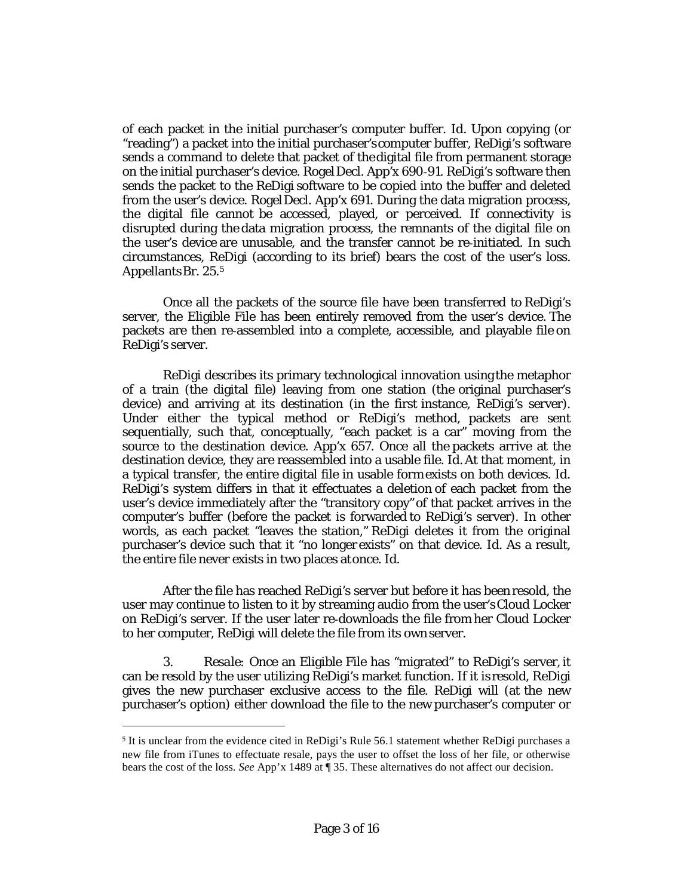of each packet in the initial purchaser's computer buffer. *Id*. Upon copying (or "reading") a packet into the initial purchaser'scomputer buffer, ReDigi's software sends a command to delete that packet of thedigital file from permanent storage on the initial purchaser's device. RogelDecl. App'x 690‐91. ReDigi's software then sends the packet to the ReDigi software to be copied into the buffer and deleted from the user's device. RogelDecl. App'x 691. During the data migration process, the digital file cannot be accessed, played, or perceived. If connectivity is disrupted during the data migration process, the remnants of the digital file on the user's device are unusable, and the transfer cannot be re‐initiated. In such circumstances, ReDigi (according to its brief) bears the cost of the user's loss. AppellantsBr. 25.[5](#page-2-0)

Once all the packets of the source file have been transferred to ReDigi's server, the Eligible File has been entirely removed from the user's device. The packets are then re‐assembled into a complete, accessible, and playable file on ReDigi's server.

ReDigi describes its primary technological innovation using the metaphor of a train (the digital file) leaving from one station (the original purchaser's device) and arriving at its destination (in the first instance, ReDigi's server). Under either the typical method or ReDigi's method, packets are sent sequentially, such that, conceptually, "each packet is a car" moving from the source to the destination device. App'x 657. Once all the packets arrive at the destination device, they are reassembled into a usable file. *Id.*At that moment, in a typical transfer, the entire digital file in usable formexists on both devices. *Id.*  ReDigi's system differs in that it effectuates a deletion of each packet from the user's device immediately after the "transitory copy"of that packet arrives in the computer's buffer (before the packet is forwarded to ReDigi's server). In other words, as each packet "leaves the station," ReDigi deletes it from the original purchaser's device such that it "no longer exists" on that device. *Id.* As a result, the entire file never exists in two places atonce. *Id.*

After the file has reached ReDigi's server but before it has beenresold, the user may continue to listen to it by streaming audio from the user'sCloud Locker on ReDigi's server. If the user later re‐downloads the file from her Cloud Locker to her computer, ReDigi will delete the file from its ownserver.

*3. Resale:* Once an Eligible File has "migrated" to ReDigi's server, it can be resold by the user utilizing ReDigi's market function. If it is resold, ReDigi gives the new purchaser exclusive access to the file. ReDigi will (at the new purchaser's option) either download the file to the new purchaser's computer or

<span id="page-2-0"></span><sup>5</sup> It is unclear from the evidence cited in ReDigi's Rule 56.1 statement whether ReDigi purchases a new file from iTunes to effectuate resale, pays the user to offset the loss of her file, or otherwise bears the cost of the loss. *See* App'x 1489 at ¶ 35. These alternatives do not affect our decision.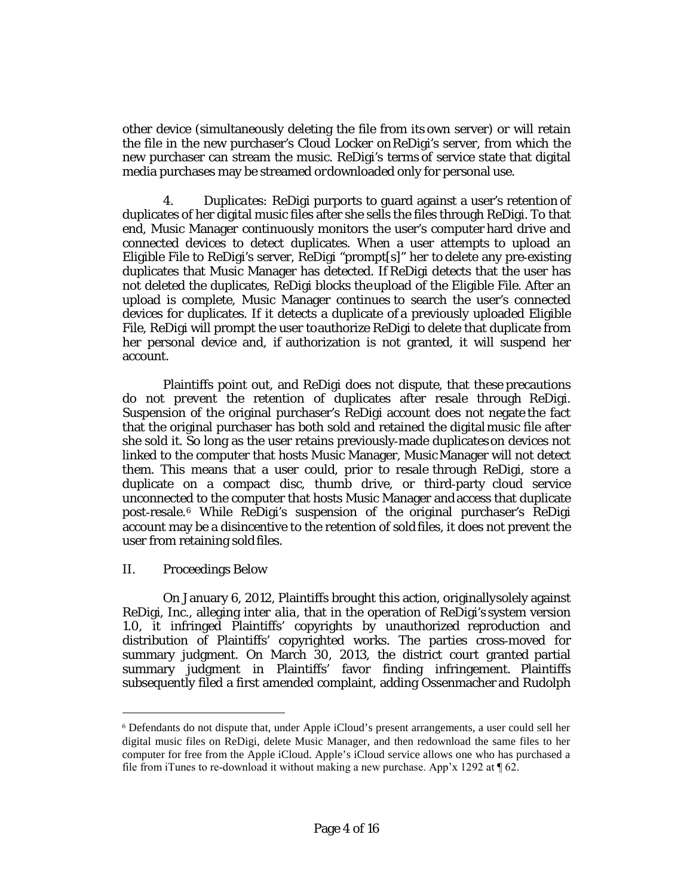other device (simultaneously deleting the file from its own server) or will retain the file in the new purchaser's Cloud Locker onReDigi's server, from which the new purchaser can stream the music. ReDigi's terms of service state that digital media purchases may be streamed ordownloaded only for personal use.

*4. Duplicates:* ReDigi purports to guard against a user's retention of duplicates of her digital music files after she sells the files through ReDigi. To that end, Music Manager continuously monitors the user's computer hard drive and connected devices to detect duplicates. When a user attempts to upload an Eligible File to ReDigi's server, ReDigi "prompt[s]" her to delete any pre‐existing duplicates that Music Manager has detected. If ReDigi detects that the user has not deleted the duplicates, ReDigi blocks theupload of the Eligible File. After an upload is complete, Music Manager continues to search the user's connected devices for duplicates. If it detects a duplicate of a previously uploaded Eligible File, ReDigi will prompt the user toauthorize ReDigi to delete that duplicate from her personal device and, if authorization is not granted, it will suspend her account.

Plaintiffs point out, and ReDigi does not dispute, that these precautions do not *prevent* the retention of duplicates after resale through ReDigi. Suspension of the original purchaser's ReDigi account does not negate the fact that the original purchaser has both sold and retained the digital music file after she sold it. So long as the user retains previously‐made duplicateson devices not linked to the computer that hosts Music Manager, MusicManager will not detect them. This means that a user could, prior to resale through ReDigi, store a duplicate on a compact disc, thumb drive, or third‐party cloud service unconnected to the computer that hosts Music Manager andaccess that duplicate post‐resale.[6](#page-3-0) While ReDigi's suspension of the original purchaser's ReDigi account may be a disincentive to the retention of soldfiles, it does not prevent the user from retaining sold files.

# II. Proceedings Below

 $\overline{a}$ 

On January 6, 2012, Plaintiffs brought this action, originallysolely against ReDigi, Inc., alleging *inter alia*, that in the operation of ReDigi's system version 1.0, it infringed Plaintiffs' copyrights by unauthorized reproduction and distribution of Plaintiffs' copyrighted works. The parties cross-moved for summary judgment. On March 30, 2013, the district court granted partial summary judgment in Plaintiffs' favor finding infringement. Plaintiffs subsequently filed a first amended complaint, adding Ossenmacher and Rudolph

<span id="page-3-0"></span><sup>6</sup> Defendants do not dispute that, under Apple iCloud's present arrangements, a user could sell her digital music files on ReDigi, delete Music Manager, and then redownload the same files to her computer for free from the Apple iCloud. Apple's iCloud service allows one who has purchased a file from iTunes to re-download it without making a new purchase. App'x 1292 at  $\P$  62.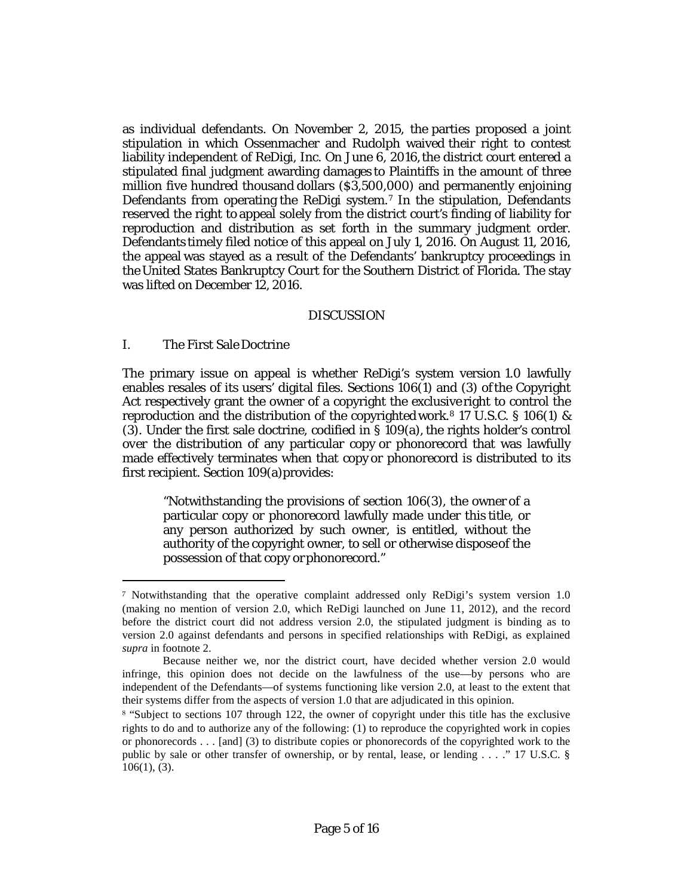as individual defendants. On November 2, 2015, the parties proposed a joint stipulation in which Ossenmacher and Rudolph waived their right to contest liability independent of ReDigi, Inc. On June 6, 2016,the district court entered a stipulated final judgment awarding damages to Plaintiffs in the amount of three million five hundred thousand dollars (\$3,500,000) and permanently enjoining Defendants from operating the ReDigi system.<sup>[7](#page-4-0)</sup> In the stipulation, Defendants reserved the right to appeal solely from the district court's finding of liability for reproduction and distribution as set forth in the summary judgment order. Defendants timely filed notice of this appeal on July 1, 2016. On August 11, 2016, the appeal was stayed as a result of the Defendants' bankruptcy proceedings in the United States Bankruptcy Court for the Southern District of Florida. The stay was lifted on December 12, 2016.

## DISCUSSION

#### I. The First Sale Doctrine

 $\overline{a}$ 

The primary issue on appeal is whether ReDigi's system version 1.0 lawfully enables resales of its users' digital files. Sections 106(1) and (3) ofthe Copyright Act respectively grant the owner of a copyright the exclusive right to control the reproduction and the distribution of the copyrightedwork.[8](#page-4-1) 17 U.S.C. § 106(1) & (3). Under the first sale doctrine, codified in § 109(a), the rights holder's control *over the distribution* of any particular copy or phonorecord that was lawfully made effectively terminates when that copy or phonorecord is distributed to its first recipient. Section 109(a)provides:

"Notwithstanding the provisions of section 106(3), the owner of a particular copy or phonorecord lawfully made under this title, or any person authorized by such owner, is entitled, without the authority of the copyright owner, to sell or otherwise disposeof the possession of that copy or phonorecord."

<span id="page-4-0"></span><sup>7</sup> Notwithstanding that the operative complaint addressed only ReDigi's system version 1.0 (making no mention of version 2.0, which ReDigi launched on June 11, 2012), and the record before the district court did not address version 2.0, the stipulated judgment is binding as to version 2.0 against defendants and persons in specified relationships with ReDigi, as explained *supra* in footnote 2.

Because neither we, nor the district court, have decided whether version 2.0 would infringe, this opinion does not decide on the lawfulness of the use—by persons who are independent of the Defendants—of systems functioning like version 2.0, at least to the extent that their systems differ from the aspects of version 1.0 that are adjudicated in this opinion.

<span id="page-4-1"></span><sup>8</sup> "Subject to sections 107 through 122, the owner of copyright under this title has the exclusive rights to do and to authorize any of the following: (1) to reproduce the copyrighted work in copies or phonorecords . . . [and] (3) to distribute copies or phonorecords of the copyrighted work to the public by sale or other transfer of ownership, or by rental, lease, or lending . . . ." 17 U.S.C. § 106(1), (3).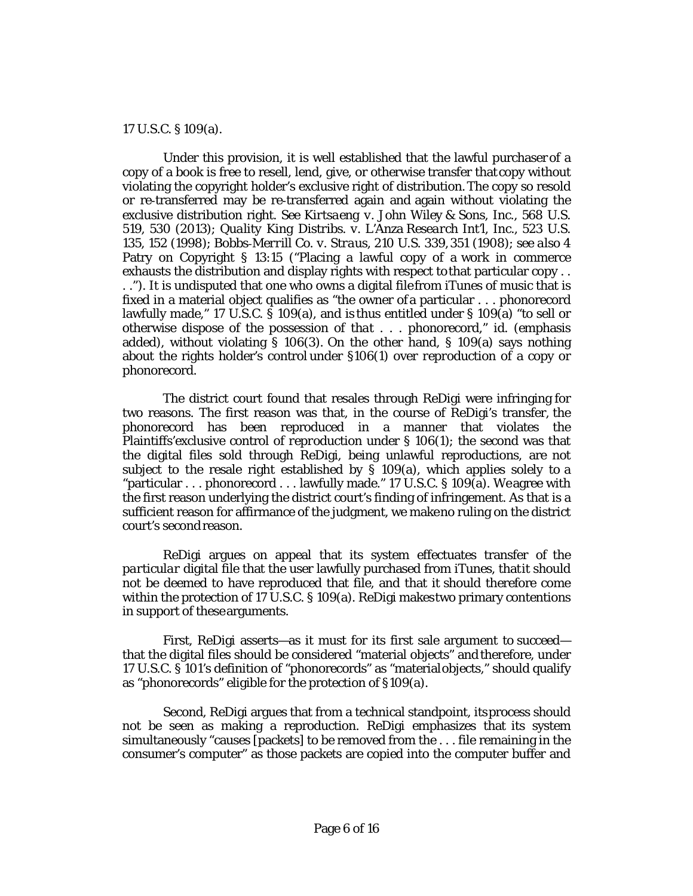#### 17 U.S.C. § 109(a).

Under this provision, it is well established that the lawful purchaser of a copy of a book is free to resell, lend, give, or otherwise transfer that copy without violating the copyright holder's exclusive right of distribution.The copy so resold or re‐transferred may be re‐transferred again and again without violating the exclusive distribution right. *See Kirtsaeng v. John Wiley & Sons, Inc.*, 568 U.S. 519, 530 (2013); *Quality King Distribs. v. L'Anza Research Int'l*, *Inc.,* 523 U.S. 135, 152 (1998); *Bobbs‐Merrill Co. v. Straus*, 210 U.S. 339,351 (1908); *see also* 4 Patry on Copyright § 13:15 ("Placing a lawful copy of a work in commerce exhausts the distribution and display rights with respect tothat particular copy . . . ."). It is undisputed that one who owns a digital filefrom iTunes of music that is fixed in a material object qualifies as "the owner of a particular . . . phonorecord lawfully made," 17 U.S.C. § 109(a), and is thus entitled under § 109(a) "to sell or otherwise dispose of the possession of *that* . . . phonorecord," *id*. (emphasis added), without violating § 106(3). On the other hand, § 109(a) says nothing about the rights holder's control under §106(1) over *reproduction* of a copy or phonorecord.

The district court found that resales through ReDigi were infringing for two reasons. The first reason was that, in the course of ReDigi's transfer, the phonorecord has been reproduced in a manner that violates the Plaintiffs'exclusive control of *reproduction* under § 106(1); the second was that the digital files sold through ReDigi, being unlawful reproductions, are not subject to the resale right established by  $\S$  109(a), which applies solely to a "particular . . . phonorecord . . . lawfully made." 17 U.S.C. § 109(a). Weagree with the first reason underlying the district court's finding of infringement. As that is a sufficient reason for affirmance of the judgment, we makeno ruling on the district court's secondreason.

ReDigi argues on appeal that its system effectuates transfer of the *particular* digital file that the user lawfully purchased from iTunes, thatit should not be deemed to have reproduced that file, and that it should therefore come within the protection of 17 U.S.C. § 109(a). ReDigi makestwo primary contentions in support of thesearguments.

First, ReDigi asserts—as it must for its first sale argument to succeed that the digital files should be considered "material objects" and therefore, under 17 U.S.C. § 101's definition of "phonorecords" as "materialobjects," should qualify as "phonorecords" eligible for the protection of §109(a).

Second, ReDigi argues that from a technical standpoint, itsprocess should not be seen as making a reproduction. ReDigi emphasizes that its system simultaneously "causes [packets] to be removed from the . . . file remaining in the consumer's computer" as those packets are copied into the computer buffer and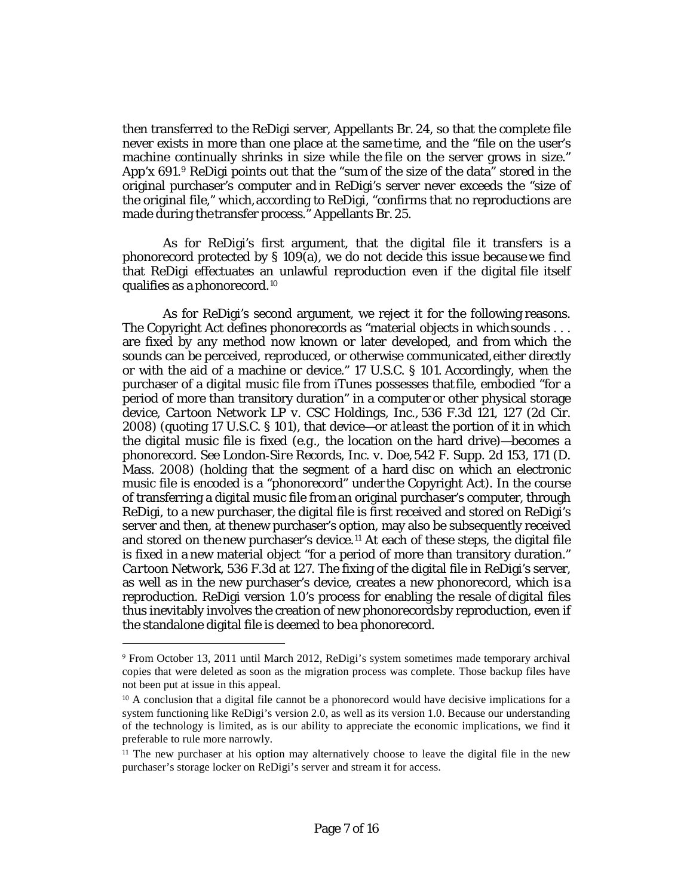then transferred to the ReDigi server, Appellants Br. 24, so that the complete file never exists in more than one place at the same time, and the "file on the user's machine continually shrinks in size while the file on the server grows in size." App'x  $691.9$  $691.9$  $691.9$  ReDigi points out that the "sum of the size of the data" stored in the original purchaser's computer and in ReDigi's server never exceeds the "size of the original file," which,according to ReDigi, "confirms that no reproductions are made during thetransfer process." Appellants Br. 25.

As for ReDigi's first argument, that the digital file it transfers is a phonorecord protected by § 109(a), we do not decide this issue because we find that ReDigi effectuates an unlawful reproduction even if the digital file itself qualifies as a phonorecord.[10](#page-6-1)

As for ReDigi's second argument, we reject it for the following reasons. The Copyright Act defines phonorecords as "material objects in whichsounds . . . are fixed by any method now known or later developed, and from which the sounds can be perceived, reproduced, or otherwise communicated, either directly or with the aid of a machine or device." 17 U.S.C. § 101. Accordingly, when the purchaser of a digital music file from iTunes possesses thatfile, embodied "for a period of more than transitory duration" in a computer or other physical storage device, *Cartoon Network LP v. CSC Holdings, Inc.,* 536 F.3d 121, 127 (2d Cir. 2008) (quoting 17 U.S.C. § 101), that device—or atleast the portion of it in which the digital music file is fixed (*e.g.*, the location on the hard drive)—becomes a phonorecord. *See London‐Sire Records, Inc. v. Doe*, 542 F. Supp. 2d 153, 171 (D. Mass. 2008) (holding that the segment of a hard disc on which an electronic music file is encoded is a "phonorecord" under the Copyright Act). In the course of transferring a digital music file froman original purchaser's computer, through ReDigi, to a new purchaser, the digital file is first received and stored on ReDigi's server and then, at thenew purchaser's option, may also be subsequently received and stored on thenew purchaser's device.[11](#page-6-2) At each of these steps, the digital file is fixed in a new material object "for a period of more than transitory duration." *Cartoon Network*, 536 F.3d at 127. The fixing of the digital file in ReDigi's server, as well as in the new purchaser's device, creates a new phonorecord, which is a reproduction. ReDigi version 1.0's process for enabling the resale of digital files thus inevitably involves the creation of new phonorecordsby reproduction, even if the standalone digital file is deemed to bea phonorecord.

l

<span id="page-6-0"></span><sup>9</sup> From October 13, 2011 until March 2012, ReDigi's system sometimes made temporary archival copies that were deleted as soon as the migration process was complete. Those backup files have not been put at issue in this appeal.

<span id="page-6-1"></span><sup>&</sup>lt;sup>10</sup> A conclusion that a digital file cannot be a phonorecord would have decisive implications for a system functioning like ReDigi's version 2.0, as well as its version 1.0. Because our understanding of the technology is limited, as is our ability to appreciate the economic implications, we find it preferable to rule more narrowly.

<span id="page-6-2"></span><sup>&</sup>lt;sup>11</sup> The new purchaser at his option may alternatively choose to leave the digital file in the new purchaser's storage locker on ReDigi's server and stream it for access.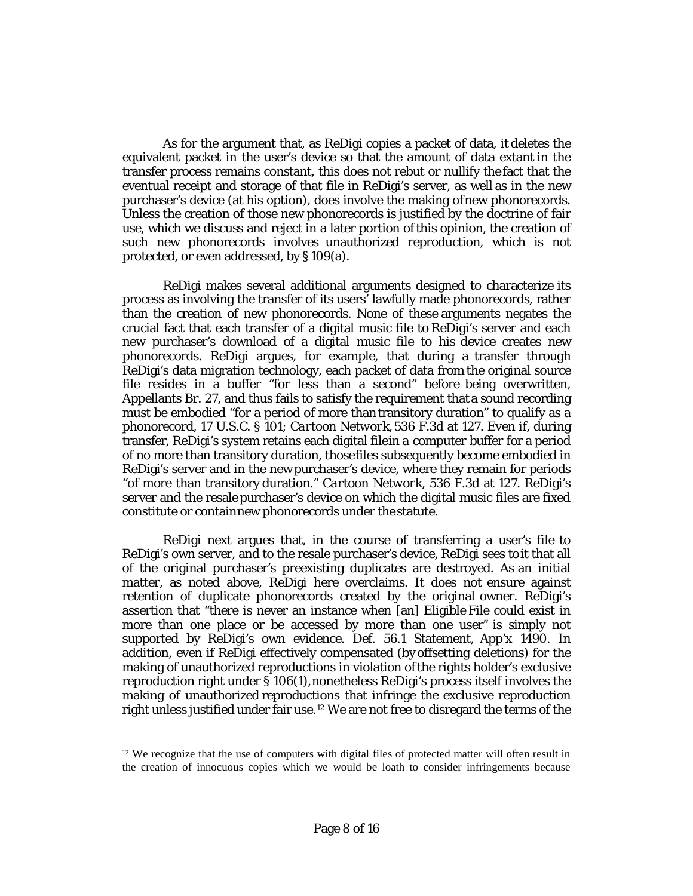As for the argument that, as ReDigi copies a packet of data, it deletes the equivalent packet in the user's device so that the amount of data extant in the transfer process remains constant, this does not rebut or nullify the fact that the eventual receipt and storage of that file in ReDigi's server, as well as in the new purchaser's device (at his option), does involve the making ofnew phonorecords. Unless the creation of those new phonorecords is justified by the doctrine of fair use, which we discuss and reject in a later portion ofthis opinion, the creation of such new phonorecords involves unauthorized reproduction, which is not protected, or even addressed, by § 109(a).

ReDigi makes several additional arguments designed to characterize its process as involving the transfer of its users' lawfully made phonorecords, rather than the creation of new phonorecords. None of these arguments negates the crucial fact that each transfer of a digital music file to ReDigi's server and each new purchaser's download of a digital music file to his device creates new phonorecords. ReDigi argues, for example, that during a transfer through ReDigi's data migration technology, each packet of data from the original source file resides in a buffer "for less than a second" before being overwritten, Appellants Br. 27, and thus fails to satisfy the requirement that a sound recording must be embodied "for a period of more thantransitory duration" to qualify as a phonorecord, 17 U.S.C. § 101; *Cartoon Network*, 536 F.3d at 127. Even if, during transfer, ReDigi's system retains each digital file*in a computer buffer* for a period of no more than transitory duration, thosefiles subsequently become embodied in ReDigi's server and in the new purchaser's device, where they remain for periods "of more than transitory duration." *Cartoon Network*, 536 F.3d at 127. ReDigi's server and the resale purchaser's device on which the digital music files are fixed constitute or containnew phonorecords under the statute.

ReDigi next argues that, in the course of transferring a user's file to ReDigi's own server, and to the resale purchaser's device, ReDigi sees toit that all of the original purchaser's preexisting duplicates are destroyed. As an initial matter, as noted above, ReDigi here overclaims. It does not ensure against retention of duplicate phonorecords created by the original owner. ReDigi's assertion that "there is never an instance when [an] Eligible File could exist in more than one place or be accessed by more than one user" is simply not supported by ReDigi's own evidence. Def. 56.1 Statement, App'x 1490. In addition, even if ReDigi effectively compensated (by offsetting deletions) for the making of unauthorized reproductions in violation ofthe rights holder's exclusive reproduction right under § 106(1), nonetheless ReDigi's process itself involves the making of unauthorized reproductions that infringe the exclusive reproduction right unless justified under fair use.[12](#page-7-0) We are not free to disregard the terms of the

<span id="page-7-0"></span><sup>&</sup>lt;sup>12</sup> We recognize that the use of computers with digital files of protected matter will often result in the creation of innocuous copies which we would be loath to consider infringements because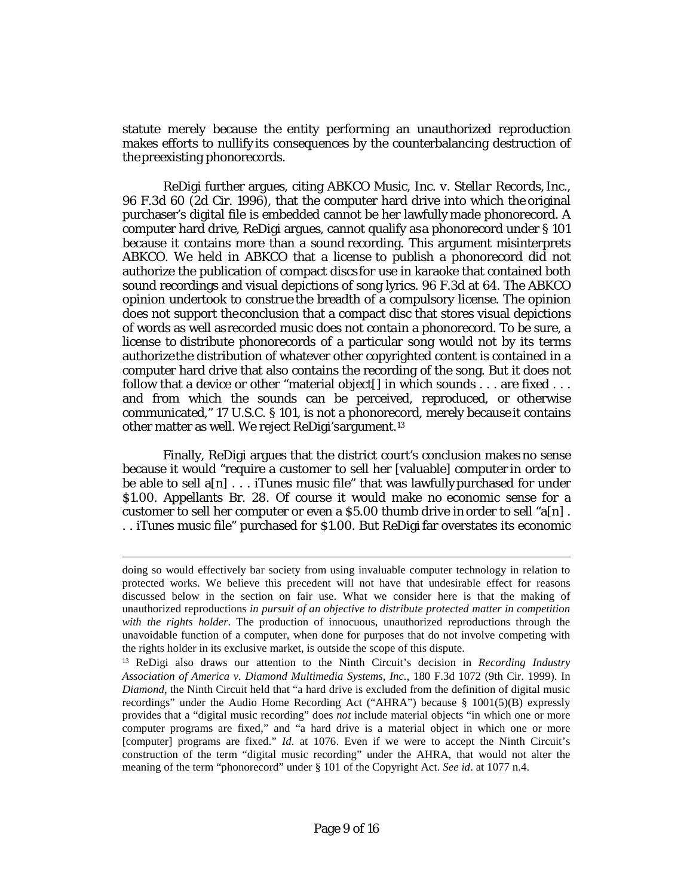statute merely because the entity performing an unauthorized reproduction makes efforts to nullify its consequences by the counterbalancing destruction of thepreexisting phonorecords.

ReDigi further argues, citing *ABKCO Music, Inc. v. Stellar Records,Inc.*, 96 F.3d 60 (2d Cir. 1996), that the computer hard drive into which the original purchaser's digital file is embedded cannot be her lawfully made phonorecord. A computer hard drive, ReDigi argues, cannot qualify asa phonorecord under § 101 because it contains more than a sound recording. This argument misinterprets *ABKCO*. We held in *ABKCO* that a license to publish a phonorecord did not authorize the publication of compact discs for use in karaoke that contained both sound recordings and visual depictions of song lyrics. 96 F.3d at 64. The *ABKCO*  opinion undertook to construe the breadth of a compulsory license. The opinion does not support theconclusion that a compact disc that stores visual depictions of words as well asrecorded music does not *contain* a phonorecord. To be sure, a license to distribute phonorecords of a particular song would not by its terms authorizethe distribution of whatever other copyrighted content is contained in a computer hard drive that also contains the recording of the song. But it does not follow that a device or other "material object[] in which sounds . . . are fixed . . . and from which the sounds can be perceived, reproduced, or otherwise communicated," 17 U.S.C. § 101, is not a phonorecord, merely because it contains other matter as well. We reject ReDigi'sargument.[13](#page-8-0)

Finally, ReDigi argues that the district court's conclusion makes no sense because it would "require a customer to sell her [valuable] computer in order to be able to sell  $a[n] \ldots$  if tunes music file" that was lawfully purchased for under \$1.00. Appellants Br. 28. Of course it would make no economic sense for a customer to sell her computer or even a \$5.00 thumb drive in order to sell "a[n] . . . iTunes music file" purchased for \$1.00. But ReDigi far overstates its economic

doing so would effectively bar society from using invaluable computer technology in relation to protected works. We believe this precedent will not have that undesirable effect for reasons discussed below in the section on fair use. What we consider here is that the making of unauthorized reproductions *in pursuit of an objective to distribute protected matter in competition with the rights holder*. The production of innocuous, unauthorized reproductions through the unavoidable function of a computer, when done for purposes that do not involve competing with the rights holder in its exclusive market, is outside the scope of this dispute.

<span id="page-8-0"></span><sup>13</sup> ReDigi also draws our attention to the Ninth Circuit's decision in *Recording Industry Association of America v. Diamond Multimedia Systems, Inc.*, 180 F.3d 1072 (9th Cir. 1999). In *Diamond*, the Ninth Circuit held that "a hard drive is excluded from the definition of digital music recordings" under the Audio Home Recording Act ("AHRA") because § 1001(5)(B) expressly provides that a "digital music recording" does *not* include material objects "in which one or more computer programs are fixed," and "a hard drive is a material object in which one or more [computer] programs are fixed." *Id*. at 1076. Even if we were to accept the Ninth Circuit's construction of the term "digital music recording" under the AHRA, that would not alter the meaning of the term "phonorecord" under § 101 of the Copyright Act. *See id*. at 1077 n.4.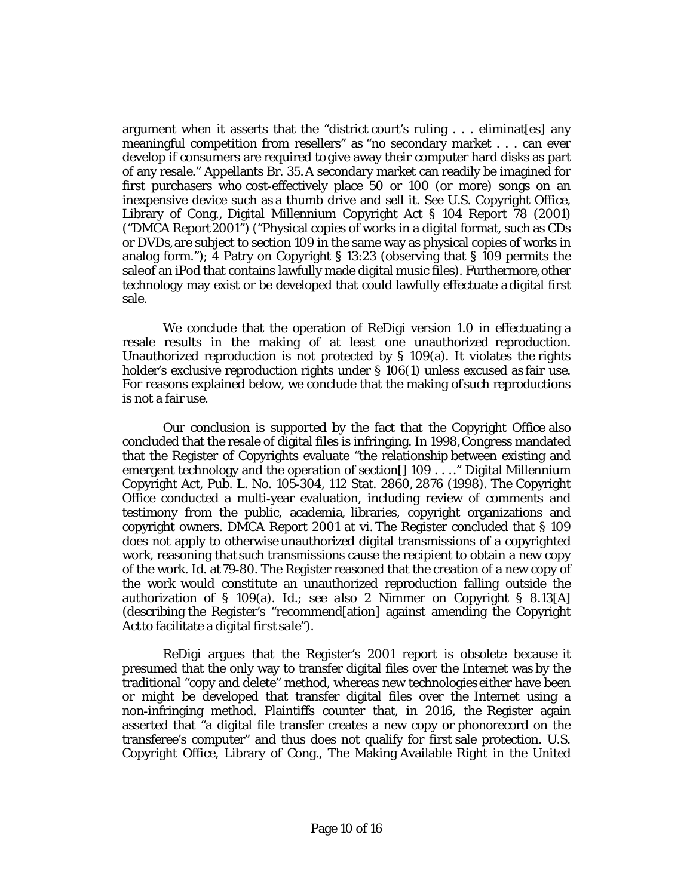argument when it asserts that the "district court's ruling . . . eliminat[es] any meaningful competition from resellers" as "no secondary market . . . can ever develop if consumers are required to give away their computer hard disks as part of any resale." Appellants Br. 35.A secondary market can readily be imagined for first purchasers who cost-effectively place 50 or 100 (or more) songs on an inexpensive device such as a thumb drive and sell it. *See* U.S. Copyright Office, Library of Cong., Digital Millennium Copyright Act § 104 Report 78 (2001) ("DMCA Report2001") ("Physical copies of works in a digital format, such as CDs or DVDs,are subject to section 109 in the same way as physical copies of works in analog form."); 4 Patry on Copyright § 13:23 (observing that § 109 permits the saleof an iPod that contains lawfully made digital music files). Furthermore,other technology may exist or be developed that could lawfully effectuate a digital first sale.

We conclude that the operation of ReDigi version 1.0 in effectuating a resale results in the making of at least one unauthorized reproduction. Unauthorized reproduction is not protected by  $\S$  109(a). It violates the rights holder's exclusive reproduction rights under § 106(1) unless excused as fair use. For reasons explained below, we conclude that the making of such reproductions is not a fair use.

Our conclusion is supported by the fact that the Copyright Office also concluded that the resale of digital files is infringing. In 1998,Congress mandated that the Register of Copyrights evaluate "the relationship between existing and emergent technology and the operation of section[] 109 . . .." Digital Millennium Copyright Act, Pub. L. No. 105‐304, 112 Stat. 2860, 2876 (1998). The Copyright Office conducted a multi‐year evaluation, including review of comments and testimony from the public, academia, libraries, copyright organizations and copyright owners. DMCA Report 2001 at vi. The Register concluded that § 109 does not apply to otherwise unauthorized digital transmissions of a copyrighted work, reasoning that such transmissions cause the recipient to obtain a new copy of the work. *Id.* at79‐80. The Register reasoned that the creation of a new copy of the work would constitute an unauthorized reproduction falling outside the authorization of § 109(a). *Id*.; s*ee also* 2 Nimmer on Copyright § 8.13[A] (describing the Register's "recommend[ation] against amending the Copyright Actto facilitate a digital *first sale*").

ReDigi argues that the Register's 2001 report is obsolete because it presumed that the only way to transfer digital files over the Internet was by the traditional "copy and delete" method, whereas new technologies either have been or might be developed that transfer digital files over the Internet using a non‐infringing method. Plaintiffs counter that, in 2016, the Register again asserted that "a digital file transfer creates a new copy or phonorecord on the transferee's computer" and thus does not qualify for first sale protection. U.S. Copyright Office, Library of Cong., The Making Available Right in the United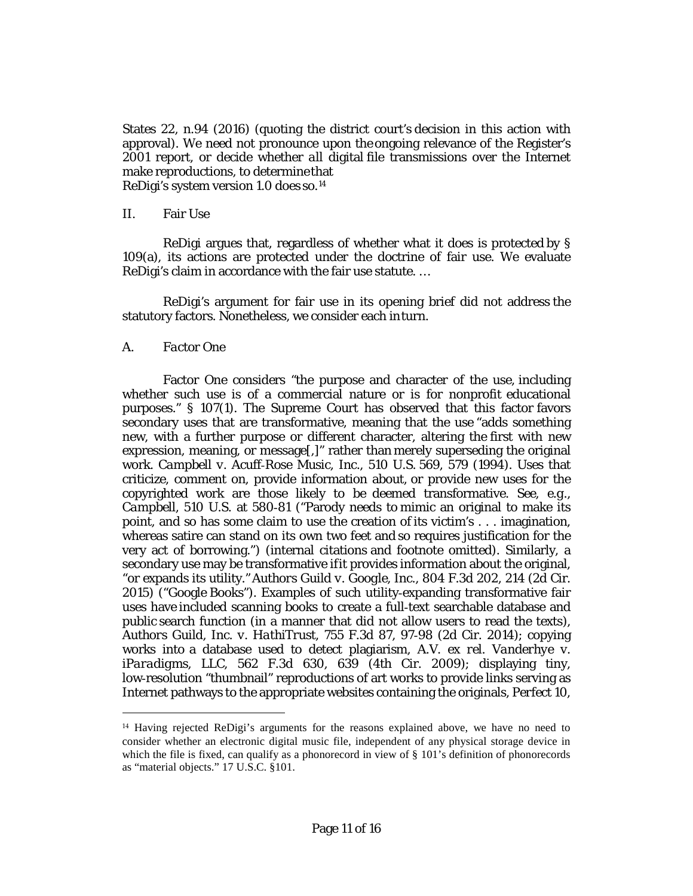States 22, n.94 (2016) (quoting the district court's decision in this action with approval). We need not pronounce upon the ongoing relevance of the Register's 2001 report, or decide whether *all* digital file transmissions over the Internet make reproductions, to determinethat ReDigi's system version 1.0 does so.[14](#page-10-0)

#### II. Fair Use

ReDigi argues that, regardless of whether what it does is protected by § 109(a), its actions are protected under the doctrine of fair use. We evaluate ReDigi's claim in accordance with the fair use statute. …

ReDigi's argument for fair use in its opening brief did not address the statutory factors. Nonetheless, we consider each inturn.

## *A. Factor One*

 $\overline{a}$ 

Factor One considers "the purpose and character of the use, including whether such use is of a commercial nature or is for nonprofit educational purposes." § 107(1). The Supreme Court has observed that this factor favors secondary uses that are transformative, meaning that the use "adds something new, with a further purpose or different character, altering the first with new expression, meaning, or message[,]" rather than merely superseding the original work. *Campbell v. Acuff‐Rose Music, Inc.*, 510 U.S. 569, 579 (1994). Uses that criticize, comment on, provide information about, or provide new uses for the copyrighted work are those likely to be deemed transformative. *See, e.g.*, *Campbell*, 510 U.S. at 580‐81 ("Parody needs to mimic an original to make its point, and so has some claim to use the creation of its victim's . . . imagination, whereas satire can stand on its own two feet and so requires justification for the very act of borrowing.") (internal citations and footnote omitted). Similarly, a secondary use may be transformative ifit provides information about the original, "or expands its utility."*Authors Guild v. Google, Inc.*, 804 F.3d 202, 214 (2d Cir. 2015) ("Google Books"). Examples of such utility‐expanding transformative fair uses have included scanning books to create a full‐text searchable database and public search function (in a manner that did not allow users to read the texts), *Authors Guild, Inc. v. HathiTrust*, 755 F.3d 87, 97‐98 (2d Cir. 2014); copying works into a database used to detect plagiarism, *A.V. ex rel. Vanderhye v. iParadigms, LLC,* 562 F.3d 630, 639 (4th Cir. 2009); displaying tiny, low‐resolution "thumbnail" reproductions of art works to provide links serving as Internet pathways to the appropriate websites containing the originals, *Perfect 10,*

<span id="page-10-0"></span><sup>14</sup> Having rejected ReDigi's arguments for the reasons explained above, we have no need to consider whether an electronic digital music file, independent of any physical storage device in which the file is fixed, can qualify as a phonorecord in view of § 101's definition of phonorecords as "material objects." 17 U.S.C. §101.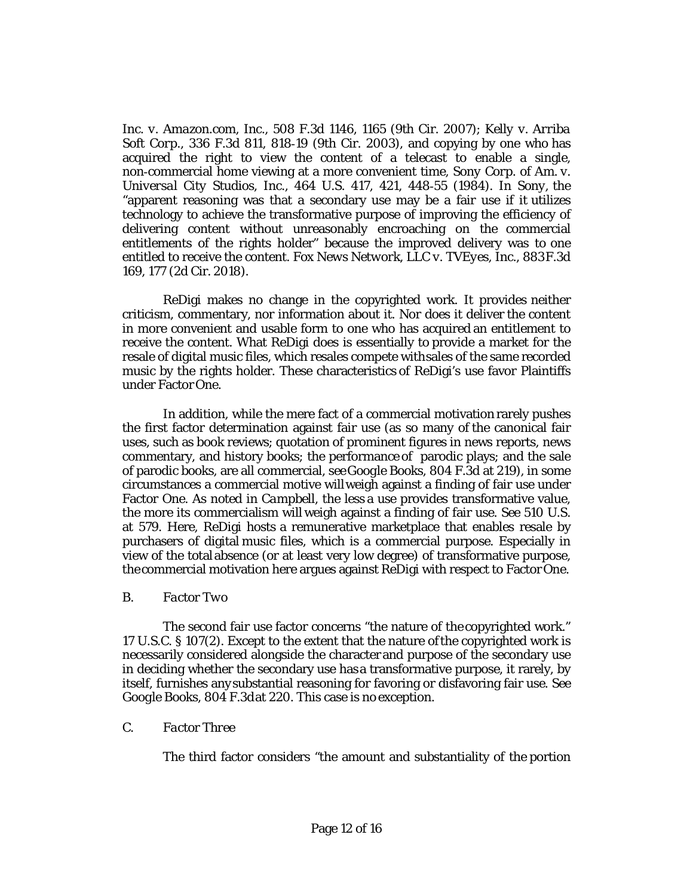*Inc. v. Amazon.com, Inc.,* 508 F.3d 1146, 1165 (9th Cir. 2007); *Kelly v. Arriba Soft Corp.*, 336 F.3d 811, 818‐19 (9th Cir. 2003), and copying by one who has acquired the right to view the content of a telecast to enable a single, non‐commercial home viewing at a more convenient time, *Sony Corp. of Am. v. Universal City Studios, Inc.,* 464 U.S. 417, 421, 448‐55 (1984). In *Sony*, the "apparent reasoning was that a secondary use may be a fair use if it utilizes technology to achieve the transformative purpose of improving the efficiency of delivering content without unreasonably encroaching on the commercial entitlements of the rights holder" because the improved delivery was to one entitled to receive the content. *Fox News Network, LLC v. TVEyes, Inc.*, 883F.3d 169, 177 (2d Cir. 2018).

ReDigi makes no change in the copyrighted work. It provides neither criticism, commentary, nor information about it. Nor does it deliver the content in more convenient and usable form to one who has acquired an entitlement to receive the content. What ReDigi does is essentially to provide a market for the resale of digital music files, which resales compete withsales of the same recorded music by the rights holder. These characteristics of ReDigi's use favor Plaintiffs under FactorOne.

In addition, while the mere fact of a commercial motivation rarely pushes the first factor determination against fair use (as so many of the canonical fair uses, such as book reviews; quotation of prominent figures in news reports, news commentary, and history books; the performance of parodic plays; and the sale of parodic books, are all commercial, *seeGoogle Books*, 804 F.3d at 219), in some circumstances a commercial motive willweigh against a finding of fair use under Factor One. As noted in *Campbell*, the less a use provides transformative value, the more its commercialism will weigh against a finding of fair use. *See* 510 U.S. at 579. Here, ReDigi hosts a remunerative marketplace that enables resale by purchasers of digital music files, which is a commercial purpose. Especially in view of the total absence (or at least very low degree) of transformative purpose, thecommercial motivation here argues against ReDigi with respect to FactorOne.

# *B. Factor Two*

The second fair use factor concerns "the nature of the copyrighted work." 17 U.S.C. § 107(2). Except to the extent that the nature ofthe copyrighted work is necessarily considered alongside the character and purpose of the secondary use in deciding whether the secondary use hasa transformative purpose, it rarely, by itself, furnishes any substantial reasoning for favoring or disfavoring fair use. *See Google Books*, 804 F.3dat 220. This case is no exception.

# *C. Factor Three*

The third factor considers "the amount and substantiality of the portion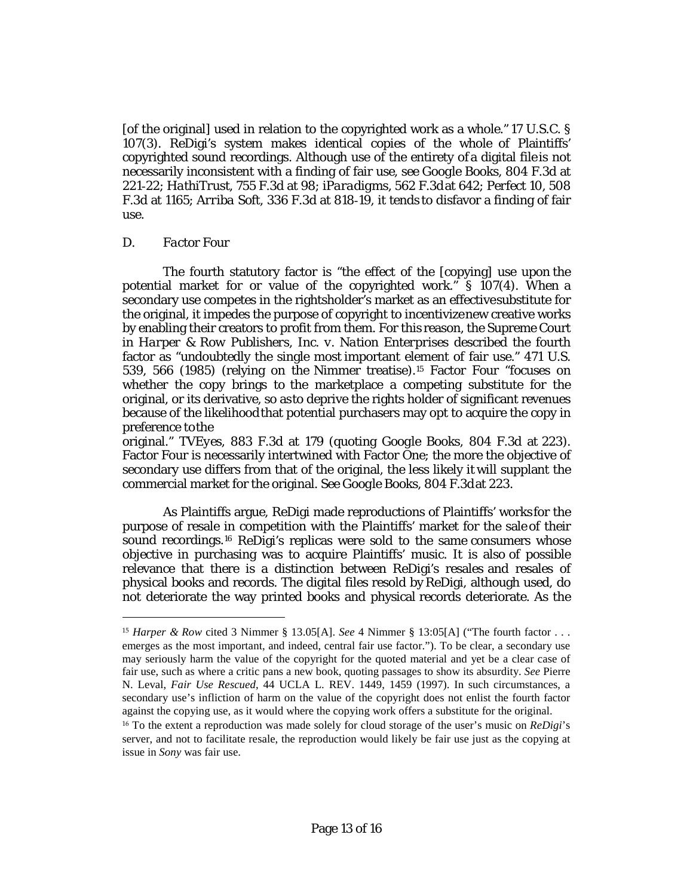[of the original] used in relation to the copyrighted work as a whole." 17 U.S.C. § 107(3). ReDigi's system makes identical copies of the whole of Plaintiffs' copyrighted sound recordings. Although use of the entirety of a digital file is not necessarily inconsistent with a finding of fair use, *see Google Books*, 804 F.3d at 221‐22; *HathiTrust*, 755 F.3d at 98; *iParadigms,* 562 F.3dat 642; *Perfect 10*, 508 F.3d at 1165; *Arriba Soft*, 336 F.3d at 818‐19, it tends to disfavor a finding of fair use.

#### *D. Factor Four*

 $\overline{a}$ 

The fourth statutory factor is "the effect of the [copying] use upon the potential market for or value of the copyrighted work." § 107(4). When a secondary use competes in the rightsholder's market as an effectivesubstitute for the original, it impedes the purpose of copyright to incentivizenew creative works by enabling their creators to profit from them. For this reason, the Supreme Court in *Harper & Row Publishers, Inc. v. Nation Enterprises* described the fourth factor as "undoubtedly the single most important element of fair use." 471 U.S. 539, 566 (1985) (relying on the Nimmer treatise).[15](#page-12-0) Factor Four "focuses on whether the copy brings to the marketplace a competing substitute for the original, or its derivative, so asto deprive the rights holder of significant revenues because of the likelihoodthat potential purchasers may opt to acquire the copy in preference tothe

original." *TVEyes*, 883 F.3d at 179 (quoting *Google Books*, 804 F.3d at 223). Factor Four is necessarily intertwined with Factor One; the more the objective of secondary use differs from that of the original, the less likely it will supplant the commercial market for the original. *See Google Books*, 804 F.3dat 223.

As Plaintiffs argue, ReDigi made reproductions of Plaintiffs' worksfor the purpose of resale in competition with the Plaintiffs' market for the sale of their sound recordings.<sup>[16](#page-12-1)</sup> ReDigi's replicas were sold to the same consumers whose objective in purchasing was to acquire Plaintiffs' music. It is also of possible relevance that there is a distinction between ReDigi's resales and resales of physical books and records. The digital files resold by ReDigi, although used, do not deteriorate the way printed books and physical records deteriorate. As the

<span id="page-12-0"></span><sup>15</sup> *Harper & Row* cited 3 Nimmer § 13.05[A]. *See* 4 Nimmer § 13:05[A] ("The fourth factor . . . emerges as the most important, and indeed, central fair use factor."). To be clear, a secondary use may seriously harm the value of the copyright for the quoted material and yet be a clear case of fair use, such as where a critic pans a new book, quoting passages to show its absurdity. *See* Pierre N. Leval, *Fair Use Rescued*, 44 UCLA L. REV. 1449, 1459 (1997). In such circumstances, a secondary use's infliction of harm on the value of the copyright does not enlist the fourth factor against the copying use, as it would where the copying work offers a substitute for the original.

<span id="page-12-1"></span><sup>16</sup> To the extent a reproduction was made solely for cloud storage of the user's music on *ReDigi*'s server, and not to facilitate resale, the reproduction would likely be fair use just as the copying at issue in *Sony* was fair use.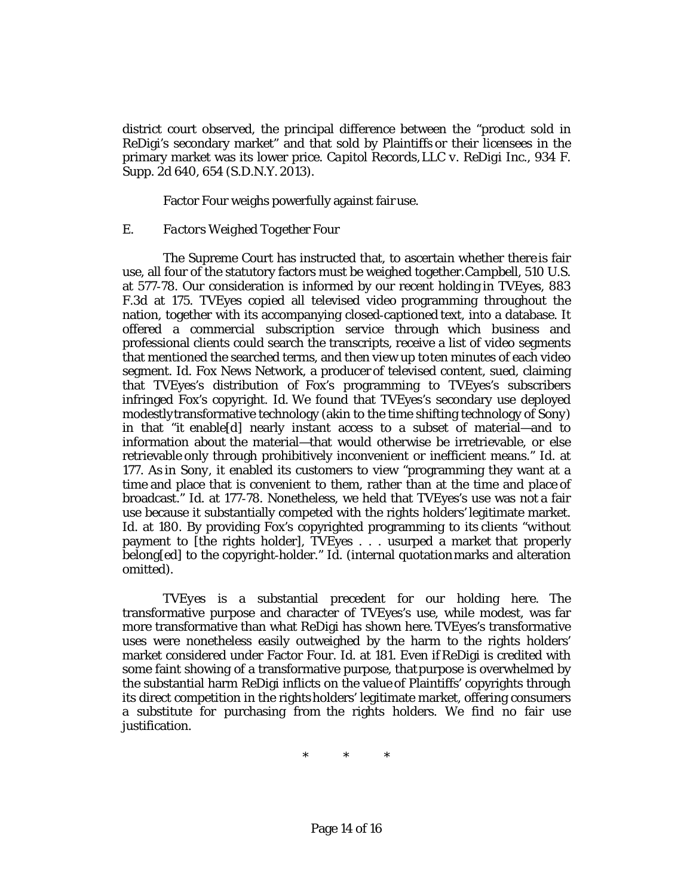district court observed, the principal difference between the "product sold in ReDigi's secondary market" and that sold by Plaintiffs or their licensees in the primary market was its lower price. *Capitol Records,LLC v. ReDigi Inc.*, 934 F. Supp. 2d 640, 654 (S.D.N.Y. 2013).

Factor Four weighs powerfully against fairuse.

#### *E. Factors Weighed Together Four*

The Supreme Court has instructed that, to ascertain whether there is fair use, all four of the statutory factors must be weighed together.*Campbell*, 510 U.S. at 577‐78. Our consideration is informed by our recent holding in *TVEyes*, 883 F.3d at 175. TVEyes copied all televised video programming throughout the nation, together with its accompanying closed‐captioned text, into a database. It offered a commercial subscription service through which business and professional clients could search the transcripts, receive a list of video segments that mentioned the searched terms, and then view up toten minutes of each video segment. *Id.* Fox News Network, a producer of televised content, sued, claiming that TVEyes's distribution of Fox's programming to TVEyes's subscribers infringed Fox's copyright. *Id*. We found that TVEyes's secondary use deployed modestlytransformative technology (akin to the time shifting technology of *Sony*) in that "it enable[d] nearly instant access to a subset of material—and to information about the material—that would otherwise be irretrievable, or else retrievable only through prohibitively inconvenient or inefficient means." *Id.* at 177. As in *Sony*, it enabled its customers to view "programming they want at a time and place that is convenient to them, rather than at the time and place of broadcast." *Id.* at 177‐78. Nonetheless, we held that TVEyes's use was not a fair use because it substantially competed with the rights holders' legitimate market. *Id.* at 180. By providing Fox's copyrighted programming to its clients "*without*  payment to [the rights holder], TVEyes . . . usurped a market that properly belong[ed] to the copyright‐holder." *Id.* (internal quotationmarks and alteration omitted).

*TVEyes* is a substantial precedent for our holding here. The transformative purpose and character of TVEyes's use, while modest, was far more transformative than what ReDigi has shown here. TVEyes's transformative uses were nonetheless easily outweighed by the harm to the rights holders' market considered under Factor Four. *Id.* at 181. Even if ReDigi is credited with some faint showing of a transformative purpose, thatpurpose is overwhelmed by the substantial harm ReDigi inflicts on the value of Plaintiffs' copyrights through its direct competition in the rightsholders' legitimate market, offering consumers a substitute for purchasing from the rights holders. We find no fair use justification.

\* \* \*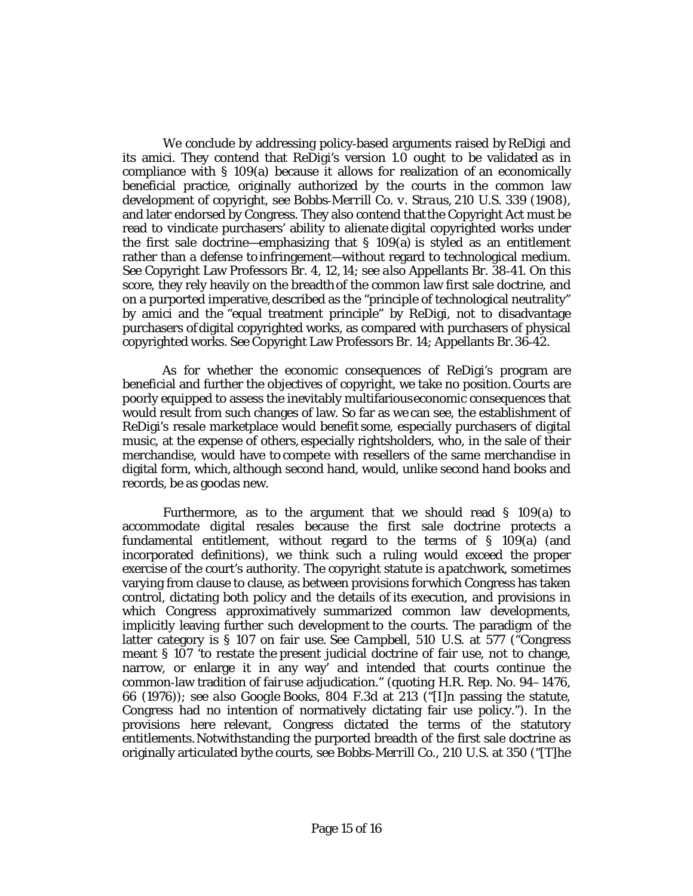We conclude by addressing policy-based arguments raised by ReDigi and its amici. They contend that ReDigi's version 1.0 ought to be validated as in compliance with § 109(a) because it allows for realization of an economically beneficial practice, originally authorized by the courts in the common law development of copyright, *see Bobbs‐Merrill Co. v. Straus*, 210 U.S. 339 (1908), and later endorsed by Congress. They also contend thatthe Copyright Act must be read to vindicate purchasers' ability to alienate digital copyrighted works under the first sale doctrine—emphasizing that § 109(a) is styled as an entitlement rather than a defense to infringement—without regard to technological medium. *See* Copyright Law Professors Br. 4, 12, 14; *see also* Appellants Br. 38‐41. On this score, they rely heavily on the breadthof the common law first sale doctrine, and on a purported imperative, described as the "principle of technological neutrality" by amici and the "equal treatment principle" by ReDigi, not to disadvantage purchasers ofdigital copyrighted works, as compared with purchasers of physical copyrighted works. *See* Copyright Law Professors Br. 14; Appellants Br.36‐42.

As for whether the economic consequences of ReDigi's program are beneficial and further the objectives of copyright, we take no position.Courts are poorly equipped to assess the inevitably multifariouseconomic consequences that would result from such changes of law. So far as we can see, the establishment of ReDigi's resale marketplace would benefit some, especially purchasers of digital music, at the expense of others, especially rightsholders, who, in the sale of their merchandise, would have to compete with resellers of the same merchandise in digital form, which, although second hand, would, unlike second hand books and records, be as goodas new.

Furthermore, as to the argument that we should read § 109(a) to accommodate digital resales because the first sale doctrine protects a fundamental entitlement, without regard to the terms of § 109(a) (and incorporated definitions), we think such a ruling would exceed the proper exercise of the court's authority. The copyright statute is apatchwork, sometimes varying from clause to clause, as between provisions forwhich Congress has taken control, dictating both policy and the details of its execution, and provisions in which Congress approximatively summarized common law developments, implicitly leaving further such development to the courts. The paradigm of the latter category is § 107 on fair use. *See Campbell*, 510 U.S. at 577 ("Congress meant § 107 'to restate the present judicial doctrine of fair use, not to change, narrow, or enlarge it in any way' and intended that courts continue the common‐law tradition of fairuse adjudication." (*quoting* H.R. Rep. No. 94–1476, 66 (1976)); *see also Google Books*, 804 F.3d at 213 ("[I]n passing the statute, Congress had no intention of normatively dictating fair use policy."). In the provisions here relevant, Congress dictated the terms of the statutory entitlements.Notwithstanding the purported breadth of the first sale doctrine as originally articulated bythe courts, *see Bobbs‐Merrill Co.*, 210 U.S. at 350 ("[T]he